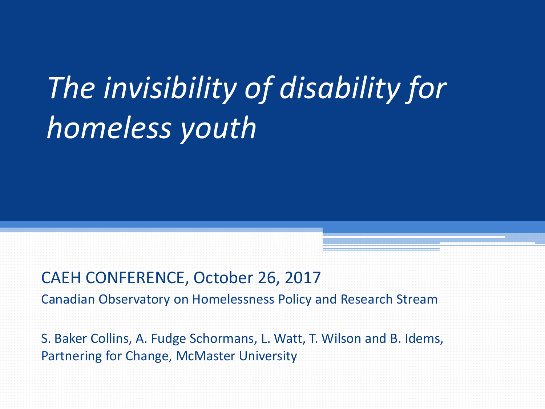# *The invisibility of disability for homeless youth*

#### CAEH CONFERENCE, October 26, 2017

Canadian Observatory on Homelessness Policy and Research Stream

S. Baker Collins, A. Fudge Schormans, L. Watt, T. Wilson and B. Idems, Partnering for Change, McMaster University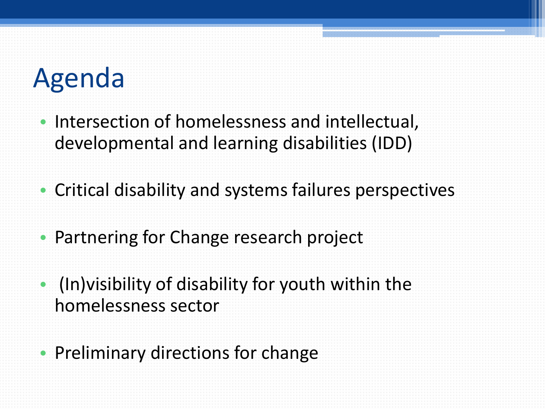# Agenda

- Intersection of homelessness and intellectual, developmental and learning disabilities (IDD)
- Critical disability and systems failures perspectives
- Partnering for Change research project
- (In)visibility of disability for youth within the homelessness sector
- Preliminary directions for change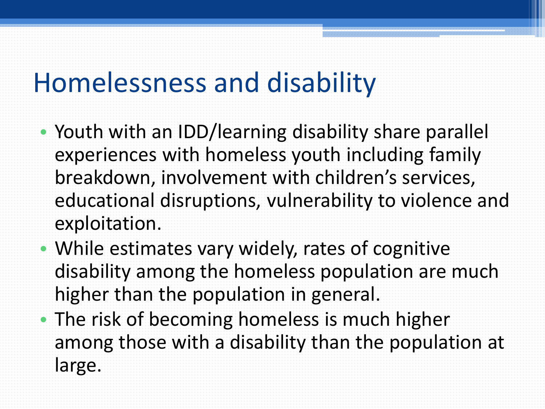### Homelessness and disability

- Youth with an IDD/learning disability share parallel experiences with homeless youth including family breakdown, involvement with children's services, educational disruptions, vulnerability to violence and exploitation.
- While estimates vary widely, rates of cognitive disability among the homeless population are much higher than the population in general.
- The risk of becoming homeless is much higher among those with a disability than the population at large.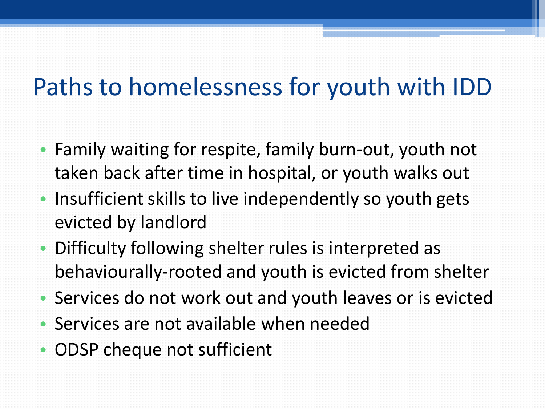#### Paths to homelessness for youth with IDD

- Family waiting for respite, family burn-out, youth not taken back after time in hospital, or youth walks out • Insufficient skills to live independently so youth gets evicted by landlord
- Difficulty following shelter rules is interpreted as behaviourally-rooted and youth is evicted from shelter
- Services do not work out and youth leaves or is evicted
- Services are not available when needed
- ODSP cheque not sufficient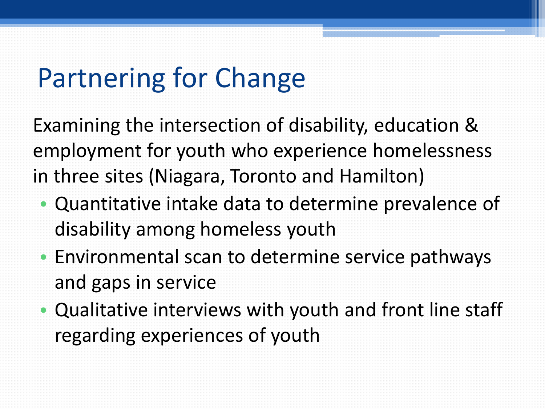# Partnering for Change

Examining the intersection of disability, education & employment for youth who experience homelessness in three sites (Niagara, Toronto and Hamilton)

- Quantitative intake data to determine prevalence of disability among homeless youth
- Environmental scan to determine service pathways and gaps in service
- Qualitative interviews with youth and front line staff regarding experiences of youth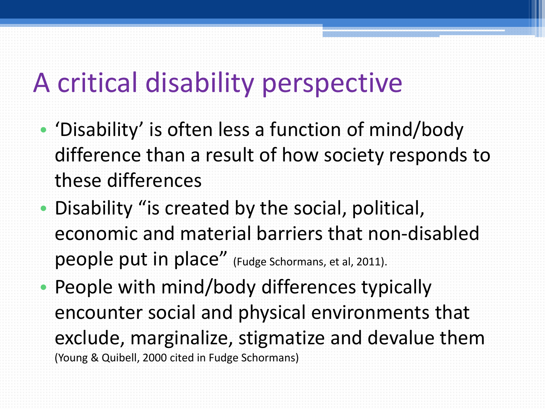### A critical disability perspective

- 'Disability' is often less a function of mind/body difference than a result of how society responds to these differences
- Disability "is created by the social, political, economic and material barriers that non-disabled people put in place" (Fudge Schormans, et al, 2011).
- People with mind/body differences typically encounter social and physical environments that exclude, marginalize, stigmatize and devalue them (Young & Quibell, 2000 cited in Fudge Schormans)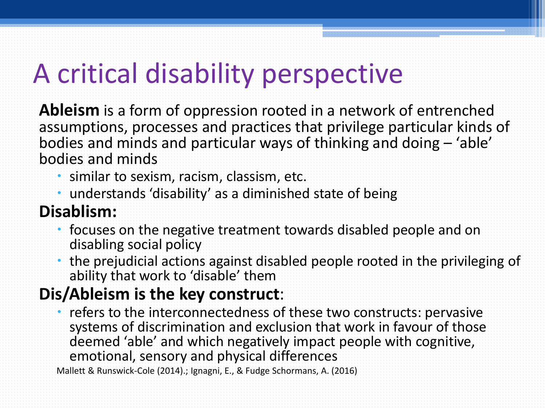# A critical disability perspective

**Ableism** is a form of oppression rooted in a network of entrenched assumptions, processes and practices that privilege particular kinds of bodies and minds and particular ways of thinking and doing – 'able' bodies and minds

- similar to sexism, racism, classism, etc.
- understands 'disability' as a diminished state of being

#### **Disablism:**

- focuses on the negative treatment towards disabled people and on disabling social policy
- the prejudicial actions against disabled people rooted in the privileging of ability that work to 'disable' them

#### **Dis/Ableism is the key construct**:

• refers to the interconnectedness of these two constructs: pervasive systems of discrimination and exclusion that work in favour of those deemed 'able' and which negatively impact people with cognitive, emotional, sensory and physical differences

Mallett & Runswick-Cole (2014).; Ignagni, E., & Fudge Schormans, A. (2016)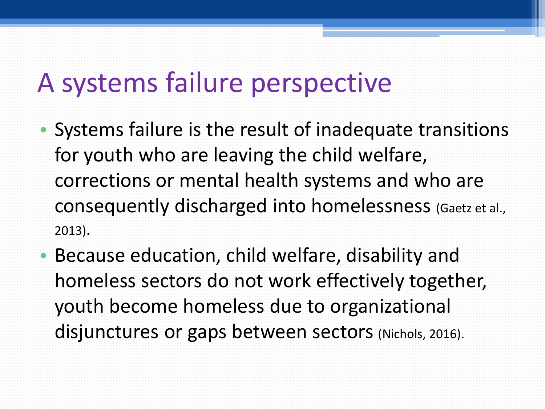#### A systems failure perspective

- Systems failure is the result of inadequate transitions for youth who are leaving the child welfare, corrections or mental health systems and who are consequently discharged into homelessness (Gaetz et al., 2013).
- Because education, child welfare, disability and homeless sectors do not work effectively together, youth become homeless due to organizational disjunctures or gaps between sectors (Nichols, 2016).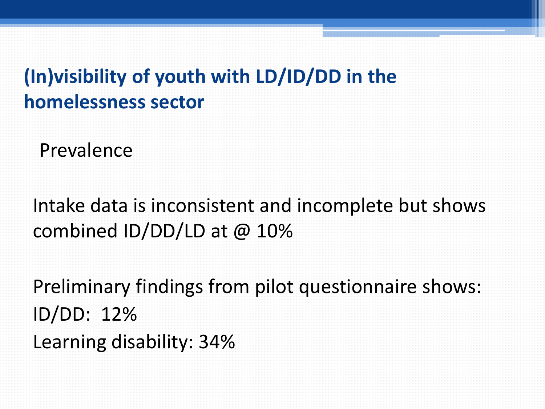#### **(In)visibility of youth with LD/ID/DD in the homelessness sector**

Prevalence

Intake data is inconsistent and incomplete but shows combined ID/DD/LD at @ 10%

Preliminary findings from pilot questionnaire shows: ID/DD: 12% Learning disability: 34%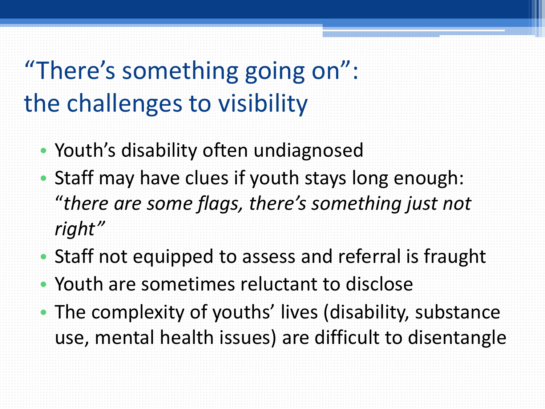## "There's something going on": the challenges to visibility

- Youth's disability often undiagnosed
- Staff may have clues if youth stays long enough: "*there are some flags, there's something just not right"*
- Staff not equipped to assess and referral is fraught
- Youth are sometimes reluctant to disclose
- The complexity of youths' lives (disability, substance use, mental health issues) are difficult to disentangle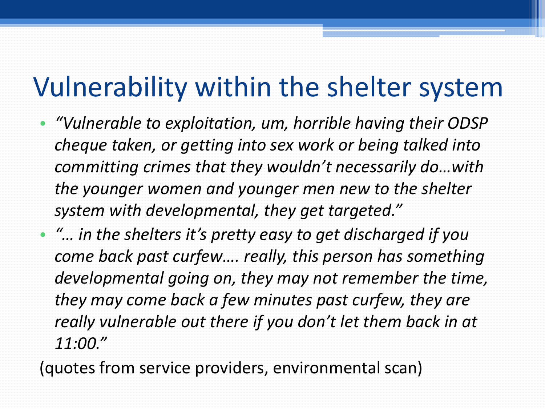#### Vulnerability within the shelter system

• *"Vulnerable to exploitation, um, horrible having their ODSP cheque taken, or getting into sex work or being talked into committing crimes that they wouldn't necessarily do…with the younger women and younger men new to the shelter system with developmental, they get targeted."*

• *"… in the shelters it's pretty easy to get discharged if you come back past curfew…. really, this person has something developmental going on, they may not remember the time, they may come back a few minutes past curfew, they are really vulnerable out there if you don't let them back in at 11:00."* 

(quotes from service providers, environmental scan)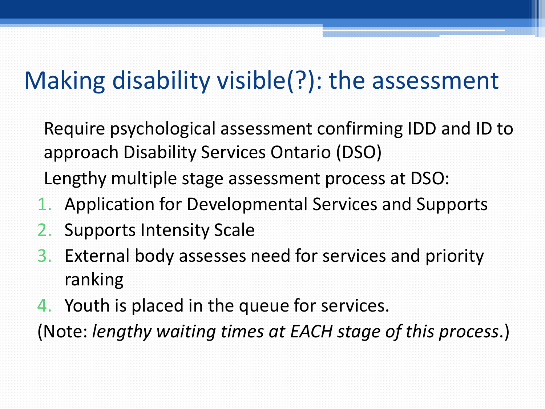#### Making disability visible(?): the assessment

- Require psychological assessment confirming IDD and ID to approach Disability Services Ontario (DSO)
- Lengthy multiple stage assessment process at DSO:
- 1. Application for Developmental Services and Supports
- 2. Supports Intensity Scale
- 3. External body assesses need for services and priority ranking
- 4. Youth is placed in the queue for services. (Note: *lengthy waiting times at EACH stage of this process*.)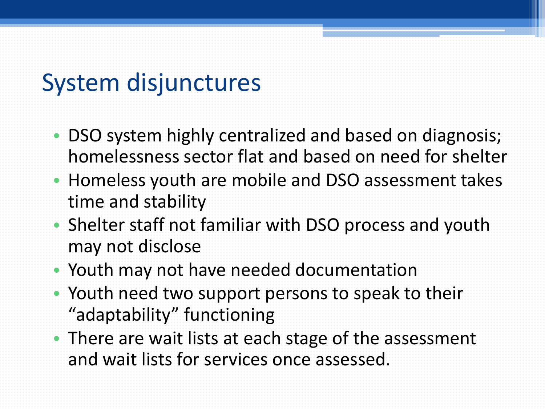#### System disjunctures

- DSO system highly centralized and based on diagnosis; homelessness sector flat and based on need for shelter
- Homeless youth are mobile and DSO assessment takes time and stability
- Shelter staff not familiar with DSO process and youth may not disclose
- Youth may not have needed documentation
- Youth need two support persons to speak to their "adaptability" functioning
- There are wait lists at each stage of the assessment and wait lists for services once assessed.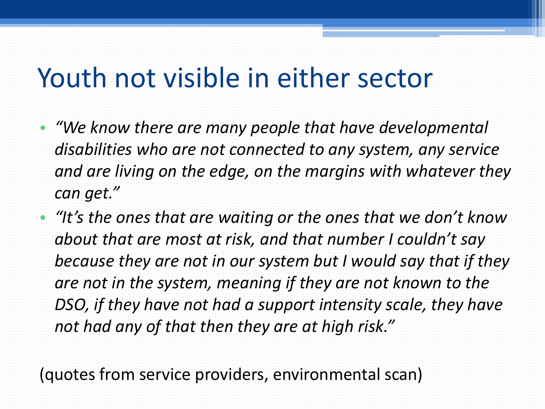## Youth not visible in either sector

• *"We know there are many people that have developmental disabilities who are not connected to any system, any service and are living on the edge, on the margins with whatever they can get."* 

• *"It's the ones that are waiting or the ones that we don't know about that are most at risk, and that number I couldn't say because they are not in our system but I would say that if they are not in the system, meaning if they are not known to the DSO, if they have not had a support intensity scale, they have not had any of that then they are at high risk."* 

(quotes from service providers, environmental scan)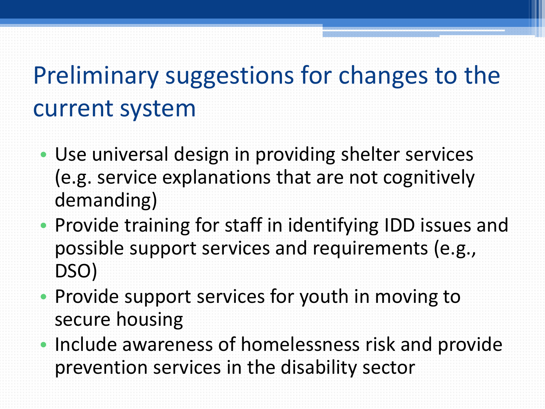## Preliminary suggestions for changes to the current system

- Use universal design in providing shelter services (e.g. service explanations that are not cognitively demanding)
- Provide training for staff in identifying IDD issues and possible support services and requirements (e.g., DSO)
- Provide support services for youth in moving to secure housing
- Include awareness of homelessness risk and provide prevention services in the disability sector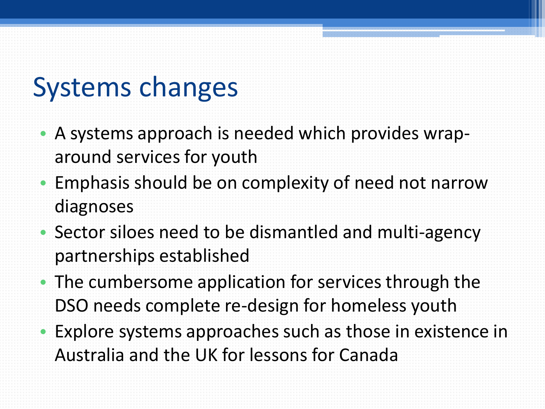### Systems changes

- A systems approach is needed which provides wraparound services for youth
- Emphasis should be on complexity of need not narrow diagnoses
- Sector siloes need to be dismantled and multi-agency partnerships established
- The cumbersome application for services through the DSO needs complete re-design for homeless youth
- Explore systems approaches such as those in existence in Australia and the UK for lessons for Canada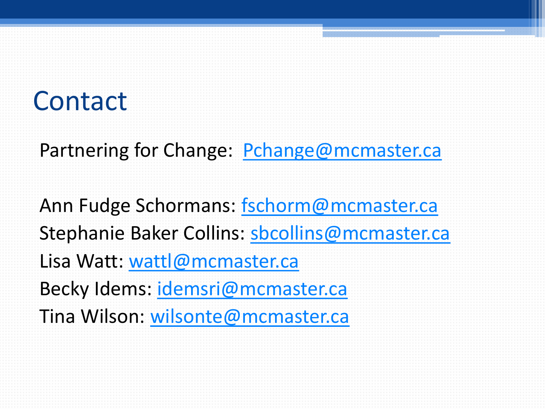### Contact

Partnering for Change: [Pchange@mcmaster.ca](mailto:Pchange@mcmaster.ca)

Ann Fudge Schormans: [fschorm@mcmaster.ca](mailto:fschorm@mcmaster.ca) Stephanie Baker Collins: [sbcollins@mcmaster.ca](mailto:sbcollins@mcmaster.ca) Lisa Watt: [wattl@mcmaster.ca](mailto:wattl@mcmaster.ca) Becky Idems: [idemsri@mcmaster.ca](mailto:idemsri@mcmaster.ca) Tina Wilson: [wilsonte@mcmaster.ca](mailto:wilsonte@mcmaster.ca)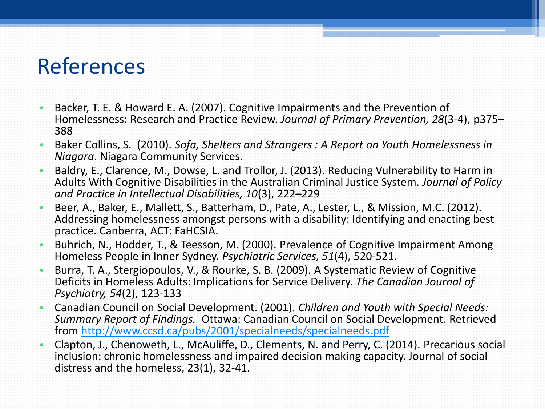#### References

- Backer, T. E. & Howard E. A. (2007). Cognitive Impairments and the Prevention of Homelessness: Research and Practice Review. *Journal of Primary Prevention, 28*(3-4), p375– 388
- Baker Collins, S. (2010). *Sofa, Shelters and Strangers : A Report on Youth Homelessness in Niagara*. Niagara Community Services.
- Baldry, E., Clarence, M., Dowse, L. and Trollor, J. (2013). Reducing Vulnerability to Harm in Adults With Cognitive Disabilities in the Australian Criminal Justice System. *Journal of Policy and Practice in Intellectual Disabilities, 10*(3), 222–229
- Beer, A., Baker, E., Mallett, S., Batterham, D., Pate, A., Lester, L., & Mission, M.C. (2012). Addressing homelessness amongst persons with a disability: Identifying and enacting best practice. Canberra, ACT: FaHCSIA.
- Buhrich, N., Hodder, T., & Teesson, M. (2000). Prevalence of Cognitive Impairment Among Homeless People in Inner Sydney. *Psychiatric Services, 51*(4), 520-521.
- Burra, T. A., Stergiopoulos, V., & Rourke, S. B. (2009). A Systematic Review of Cognitive Deficits in Homeless Adults: Implications for Service Delivery. *The Canadian Journal of Psychiatry, 54*(2), 123-133
- Canadian Council on Social Development. (2001). *Children and Youth with Special Needs: Summary Report of Findings.* Ottawa: Canadian Council on Social Development. Retrieved from <http://www.ccsd.ca/pubs/2001/specialneeds/specialneeds.pdf>
- Clapton, J., Chenoweth, L., McAuliffe, D., Clements, N. and Perry, C. (2014). Precarious social inclusion: chronic homelessness and impaired decision making capacity. Journal of social distress and the homeless, 23(1), 32-41.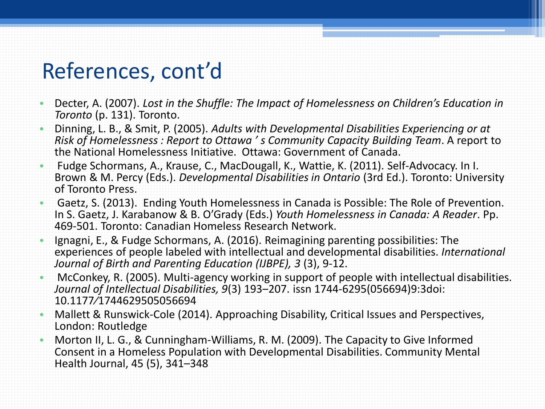#### References, cont'd

- Decter, A. (2007). *Lost in the Shuffle: The Impact of Homelessness on Children's Education in Toronto* (p. 131). Toronto.
- Dinning, L. B., & Smit, P. (2005). *Adults with Developmental Disabilities Experiencing or at Risk of Homelessness : Report to Ottawa ' s Community Capacity Building Team*. A report to the National Homelessness Initiative. Ottawa: Government of Canada.
- Fudge Schormans, A., Krause, C., MacDougall, K., Wattie, K. (2011). Self-Advocacy. In I. Brown & M. Percy (Eds.). *Developmental Disabilities in Ontario* (3rd Ed.). Toronto: University of Toronto Press.
- Gaetz, S. (2013). Ending Youth Homelessness in Canada is Possible: The Role of Prevention. In S. Gaetz, J. Karabanow & B. O'Grady (Eds.) *Youth Homelessness in Canada: A Reader*. Pp. 469-501. Toronto: Canadian Homeless Research Network.
- Ignagni, E., & Fudge Schormans, A. (2016). Reimagining parenting possibilities: The experiences of people labeled with intellectual and developmental disabilities. *International Journal of Birth and Parenting Education (IJBPE), 3* (3), 9-12.
- McConkey, R. (2005). Multi-agency working in support of people with intellectual disabilities. *Journal of Intellectual Disabilities, 9*(3) 193‒207. issn 1744-6295(056694)9:3doi: 10.1177⁄1744629505056694
- Mallett & Runswick-Cole (2014). Approaching Disability, Critical Issues and Perspectives, London: Routledge
- Morton II, L. G., & Cunningham-Williams, R. M. (2009). The Capacity to Give Informed Consent in a Homeless Population with Developmental Disabilities. Community Mental Health Journal, 45 (5), 341–348